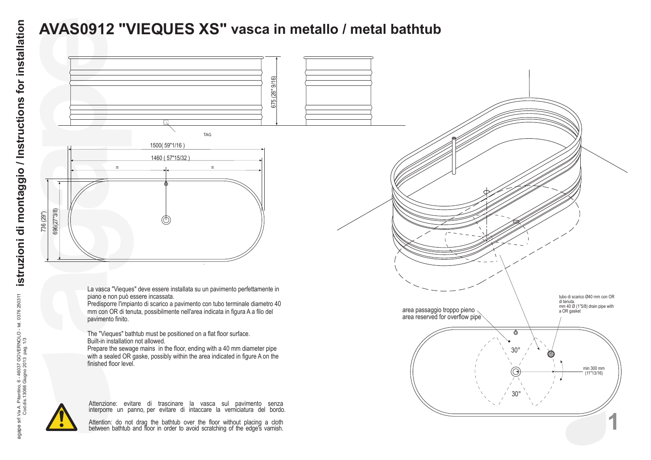## **AVAS0912 "VIEQUES XS" vasca in metallo / metal bathtub**



La vasca "Vieques" deve essere installata su un pavimento perfettamente in piano e non può essere incassata.

Predisporre l'impianto di scarico a pavimento con tubo terminale diametro 40 mm con OR di tenuta, possibilmente nell'area indicata in figura A a filo del pavimento finito.

The "Vieques" bathtub must be positioned on a flat floor surface. Built-in installation not allowed.

Prepare the sewage mains in the floor, ending with a 40 mm diameter pipe with a sealed OR gaske, possibly within the area indicated in figure A on the finished floor level.



Attenzione: evitare di trascinare la vasca sul pavimento senza interporre un panno, per evitare di intaccare la verniciatura del bordo.

Attention: do not drag the bathtub over the floor without placing a cloth between bathtub and floor in order to avoid scratching of the edge's varnish.

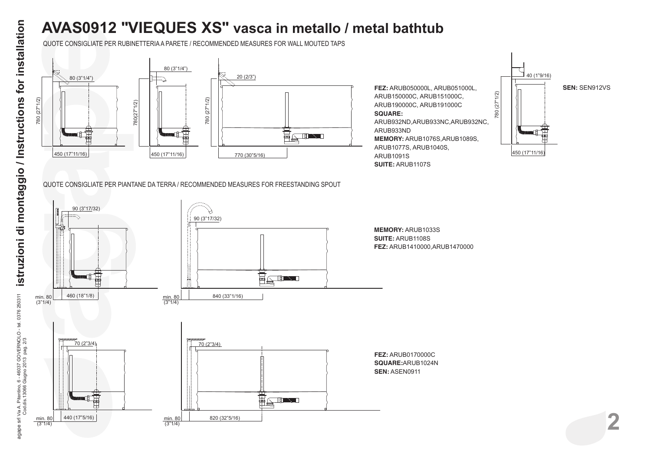## **AVAS0912 "VIEQUES XS" vasca in metallo / metal bathtub**

QUOTE CONSIGLIATE PER RUBINETTERIA A PARETE / RECOMMENDED MEASURES FOR WALL MOUTED TAPS



**FEZ:** ARUB050000L, ARUB051000L, ARUB150000C, ARUB151000C, ARUB190000C, ARUB191000C **SQUARE:**

ARUB932ND,ARUB933NC,ARUB932NC, ARUB933ND **MEMORY:** ARUB1076S,ARUB1089S, ARUB1077S, ARUB1040S, ARUB1091S **SUITE:** ARUB1107S



QUOTE CONSIGLIATE PER PIANTANE DA TERRA / RECOMMENDED MEASURES FOR FREESTANDING SPOUT



**2**